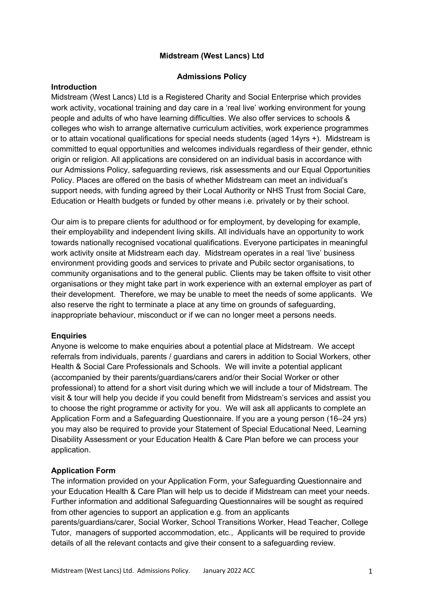# **Midstream (West Lancs) Ltd**

#### **Admissions Policy**

## **Introduction**

Midstream (West Lancs) Ltd is a Registered Charity and Social Enterprise which provides work activity, vocational training and day care in a 'real live' working environment for young people and adults of who have learning difficulties. We also offer services to schools & colleges who wish to arrange alternative curriculum activities, work experience programmes or to attain vocational qualifications for special needs students (aged 14yrs +). Midstream is committed to equal opportunities and welcomes individuals regardless of their gender, ethnic origin or religion. All applications are considered on an individual basis in accordance with our Admissions Policy, safeguarding reviews, risk assessments and our Equal Opportunities Policy. Places are offered on the basis of whether Midstream can meet an individual's support needs, with funding agreed by their Local Authority or NHS Trust from Social Care, Education or Health budgets or funded by other means i.e. privately or by their school.

Our aim is to prepare clients for adulthood or for employment, by developing for example, their employability and independent living skills. All individuals have an opportunity to work towards nationally recognised vocational qualifications. Everyone participates in meaningful work activity onsite at Midstream each day. Midstream operates in a real 'live' business environment providing goods and services to private and Pubilc sector organisations, to community organisations and to the general public. Clients may be taken offsite to visit other organisations or they might take part in work experience with an external employer as part of their development. Therefore, we may be unable to meet the needs of some applicants. We also reserve the right to terminate a place at any time on grounds of safeguarding, inappropriate behaviour, misconduct or if we can no longer meet a persons needs.

## **Enquiries**

Anyone is welcome to make enquiries about a potential place at Midstream. We accept referrals from individuals, parents / guardians and carers in addition to Social Workers, other Health & Social Care Professionals and Schools. We will invite a potential applicant (accompanied by their parents/guardians/carers and/or their Social Worker or other professional) to attend for a short visit during which we will include a tour of Midstream. The visit & tour will help you decide if you could benefit from Midstream's services and assist you to choose the right programme or activity for you. We will ask all applicants to complete an Application Form and a Safeguarding Questionnaire. If you are a young person (16–24 yrs) you may also be required to provide your Statement of Special Educational Need, Learning Disability Assessment or your Education Health & Care Plan before we can process your application.

## **Application Form**

The information provided on your Application Form, your Safeguarding Questionnaire and your Education Health & Care Plan will help us to decide if Midstream can meet your needs. Further information and additional Safeguarding Questionnaires will be sought as required from other agencies to support an application e.g. from an applicants parents/guardians/carer, Social Worker, School Transitions Worker, Head Teacher, College

Tutor, managers of supported accommodation, etc., Applicants will be required to provide details of all the relevant contacts and give their consent to a safeguarding review.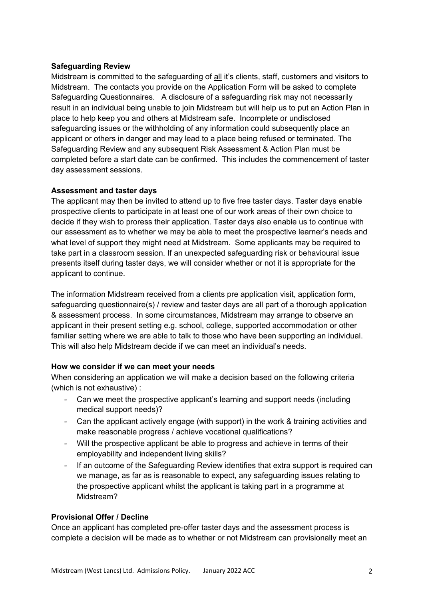### **Safeguarding Review**

Midstream is committed to the safeguarding of all it's clients, staff, customers and visitors to Midstream. The contacts you provide on the Application Form will be asked to complete Safeguarding Questionnaires. A disclosure of a safeguarding risk may not necessarily result in an individual being unable to join Midstream but will help us to put an Action Plan in place to help keep you and others at Midstream safe. Incomplete or undisclosed safeguarding issues or the withholding of any information could subsequently place an applicant or others in danger and may lead to a place being refused or terminated. The Safeguarding Review and any subsequent Risk Assessment & Action Plan must be completed before a start date can be confirmed. This includes the commencement of taster day assessment sessions.

#### **Assessment and taster days**

The applicant may then be invited to attend up to five free taster days. Taster days enable prospective clients to participate in at least one of our work areas of their own choice to decide if they wish to proress their application. Taster days also enable us to continue with our assessment as to whether we may be able to meet the prospective learner's needs and what level of support they might need at Midstream. Some applicants may be required to take part in a classroom session. If an unexpected safeguarding risk or behavioural issue presents itself during taster days, we will consider whether or not it is appropriate for the applicant to continue.

The information Midstream received from a clients pre application visit, application form, safeguarding questionnaire(s) / review and taster days are all part of a thorough application & assessment process. In some circumstances, Midstream may arrange to observe an applicant in their present setting e.g. school, college, supported accommodation or other familiar setting where we are able to talk to those who have been supporting an individual. This will also help Midstream decide if we can meet an individual's needs.

## **How we consider if we can meet your needs**

When considering an application we will make a decision based on the following criteria (which is not exhaustive) :

- Can we meet the prospective applicant's learning and support needs (including medical support needs)?
- Can the applicant actively engage (with support) in the work & training activities and make reasonable progress / achieve vocational qualifications?
- Will the prospective applicant be able to progress and achieve in terms of their employability and independent living skills?
- If an outcome of the Safeguarding Review identifies that extra support is required can we manage, as far as is reasonable to expect, any safeguarding issues relating to the prospective applicant whilst the applicant is taking part in a programme at Midstream?

## **Provisional Offer / Decline**

Once an applicant has completed pre-offer taster days and the assessment process is complete a decision will be made as to whether or not Midstream can provisionally meet an